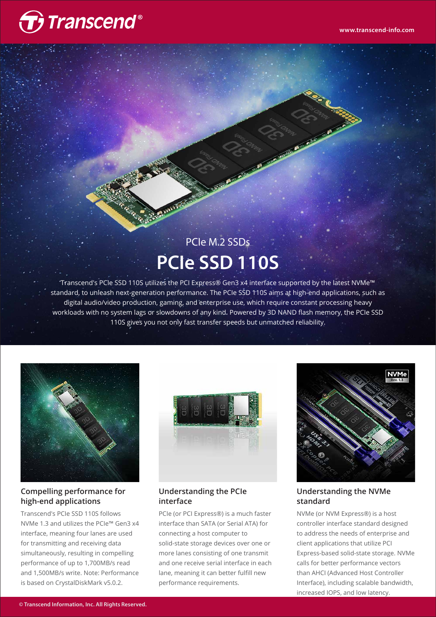

# PCIe M.2 SSDs **PCIe SSD 110S**

Transcend's PCIe SSD 110S utilizes the PCI Express® Gen3 x4 interface supported by the latest NVMe™ standard, to unleash next-generation performance. The PCIe SSD 110S aims at high-end applications, such as digital audio/video production, gaming, and enterprise use, which require constant processing heavy workloads with no system lags or slowdowns of any kind. Powered by 3D NAND flash memory, the PCIe SSD 110S gives you not only fast transfer speeds but unmatched reliability.



#### **Compelling performance for high-end applications**

Transcend's PCIe SSD 110S follows NVMe 1.3 and utilizes the PCIe™ Gen3 x4 interface, meaning four lanes are used for transmitting and receiving data simultaneously, resulting in compelling performance of up to 1,700MB/s read and 1,500MB/s write. Note: Performance is based on CrystalDiskMark v5.0.2.



**Understanding the PCIe interface**

PCIe (or PCI Express®) is a much faster interface than SATA (or Serial ATA) for connecting a host computer to solid-state storage devices over one or more lanes consisting of one transmit and one receive serial interface in each lane, meaning it can better fulfill new performance requirements.



#### **Understanding the NVMe standard**

NVMe (or NVM Express®) is a host controller interface standard designed to address the needs of enterprise and client applications that utilize PCI Express-based solid-state storage. NVMe calls for better performance vectors than AHCI (Advanced Host Controller Interface), including scalable bandwidth, increased IOPS, and low latency.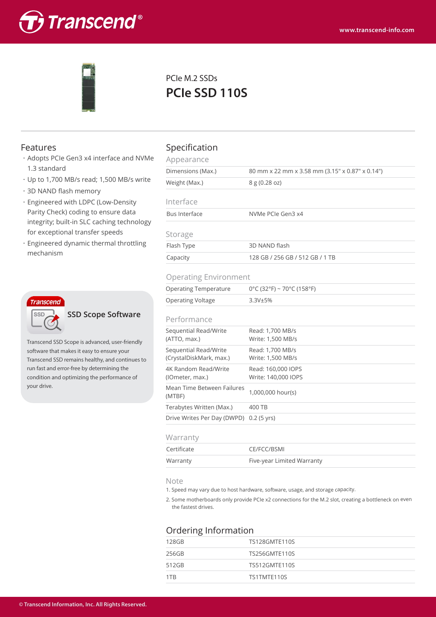



## PCIe M.2 SSDs **PCIe SSD 110S**

- ・Adopts PCIe Gen3 x4 interface and NVMe 1.3 standard
- ・Up to 1,700 MB/s read; 1,500 MB/s write
- ・3D NAND flash memory
- ・Engineered with LDPC (Low-Density Parity Check) coding to ensure data integrity; built-in SLC caching technology for exceptional transfer speeds
- ・Engineered dynamic thermal throttling mechanism



**SSD Scope Software**

Transcend SSD Scope is advanced, user-friendly software that makes it easy to ensure your Transcend SSD remains healthy, and continues to run fast and error-free by determining the condition and optimizing the performance of your drive.

### Features Specification

| Appearance                  |                                                 |  |
|-----------------------------|-------------------------------------------------|--|
| Dimensions (Max.)           | 80 mm x 22 mm x 3.58 mm (3.15" x 0.87" x 0.14") |  |
| Weight (Max.)<br>8g(0.28oz) |                                                 |  |
| Interface                   |                                                 |  |
| Bus Interface               | NVMe PCIe Gen3 x4                               |  |
| Storage                     |                                                 |  |
| Flash Type                  | 3D NAND flash                                   |  |
| Capacity                    | 128 GB / 256 GB / 512 GB / 1 TB                 |  |
|                             |                                                 |  |

#### Operating Environment

| Operating Temperature | $0^{\circ}$ C (32°F) ~ 70°C (158°F) |
|-----------------------|-------------------------------------|
| Operating Voltage     | 3.3V±5%                             |
|                       |                                     |

#### Performance

| .                                                |                                           |
|--------------------------------------------------|-------------------------------------------|
| Sequential Read/Write<br>(ATTO, max.)            | Read: 1.700 MB/s<br>Write: 1,500 MB/s     |
| Sequential Read/Write<br>(CrystalDiskMark, max.) | Read: 1,700 MB/s<br>Write: 1,500 MB/s     |
| 4K Random Read/Write<br>(IOmeter, max.)          | Read: 160,000 IOPS<br>Write: 140,000 IOPS |
| Mean Time Between Failures<br>(MTBF)             | 1.000.000 hour(s)                         |
| Terabytes Written (Max.)                         | 400 TB                                    |
| Drive Writes Per Day (DWPD) 0.2 (5 yrs)          |                                           |
|                                                  |                                           |

#### **Warranty**

| <u><i><b>x</b>vuiturity</i></u> |                            |  |
|---------------------------------|----------------------------|--|
| Certificate                     | CE/FCC/BSMI                |  |
| Warranty                        | Five-year Limited Warranty |  |

#### Note

1. Speed may vary due to host hardware, software, usage, and storage capacity.

2. Some motherboards only provide PCIe x2 connections for the M.2 slot, creating a bottleneck on even the fastest drives.

### Ordering Information

| 128GB | TS128GMTE110S        |
|-------|----------------------|
| 256GB | <b>TS256GMTE110S</b> |
| 512GB | TS512GMTE110S        |
| 1TR   | TS1TMTE110S          |